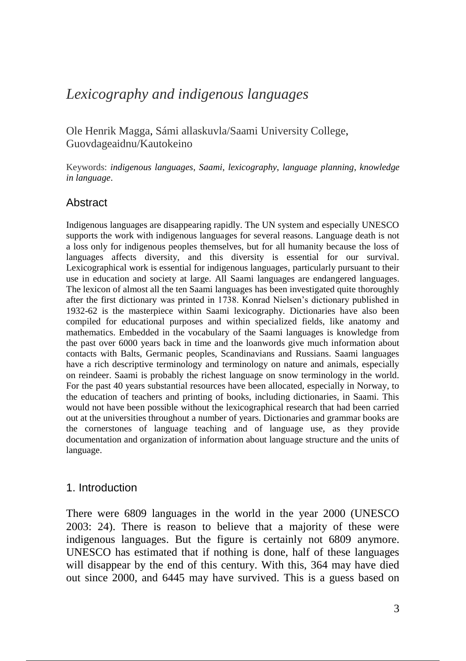# *Lexicography and indigenous languages*

Ole Henrik Magga, Sámi allaskuvla/Saami University College, Guovdageaidnu/Kautokeino

Keywords: *indigenous languages*, *Saami*, *lexicography*, *language planning*, *knowledge in language*.

### Abstract

Indigenous languages are disappearing rapidly. The UN system and especially UNESCO supports the work with indigenous languages for several reasons. Language death is not a loss only for indigenous peoples themselves, but for all humanity because the loss of languages affects diversity, and this diversity is essential for our survival. Lexicographical work is essential for indigenous languages, particularly pursuant to their use in education and society at large. All Saami languages are endangered languages. The lexicon of almost all the ten Saami languages has been investigated quite thoroughly after the first dictionary was printed in 1738. Konrad Nielsen's dictionary published in 1932-62 is the masterpiece within Saami lexicography. Dictionaries have also been compiled for educational purposes and within specialized fields, like anatomy and mathematics. Embedded in the vocabulary of the Saami languages is knowledge from the past over 6000 years back in time and the loanwords give much information about contacts with Balts, Germanic peoples, Scandinavians and Russians. Saami languages have a rich descriptive terminology and terminology on nature and animals, especially on reindeer. Saami is probably the richest language on snow terminology in the world. For the past 40 years substantial resources have been allocated, especially in Norway, to the education of teachers and printing of books, including dictionaries, in Saami. This would not have been possible without the lexicographical research that had been carried out at the universities throughout a number of years. Dictionaries and grammar books are the cornerstones of language teaching and of language use, as they provide documentation and organization of information about language structure and the units of language.

### 1. Introduction

There were 6809 languages in the world in the year 2000 (UNESCO 2003: 24). There is reason to believe that a majority of these were indigenous languages. But the figure is certainly not 6809 anymore. UNESCO has estimated that if nothing is done, half of these languages will disappear by the end of this century. With this, 364 may have died out since 2000, and 6445 may have survived. This is a guess based on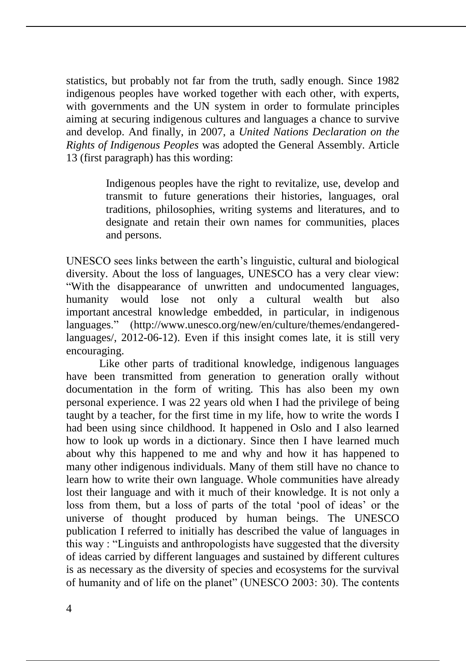statistics, but probably not far from the truth, sadly enough. Since 1982 indigenous peoples have worked together with each other, with experts, with governments and the UN system in order to formulate principles aiming at securing indigenous cultures and languages a chance to survive and develop. And finally, in 2007, a *United Nations Declaration on the Rights of Indigenous Peoples* was adopted the General Assembly. Article 13 (first paragraph) has this wording:

> Indigenous peoples have the right to revitalize, use, develop and transmit to future generations their histories, languages, oral traditions, philosophies, writing systems and literatures, and to designate and retain their own names for communities, places and persons.

UNESCO sees links between the earth's linguistic, cultural and biological diversity. About the loss of languages, UNESCO has a very clear view: "With the disappearance of unwritten and undocumented languages, humanity would lose not only a cultural wealth but also important ancestral knowledge embedded, in particular, in indigenous languages." (http://www.unesco.org/new/en/culture/themes/endangeredlanguages/, 2012-06-12). Even if this insight comes late, it is still very encouraging.

Like other parts of traditional knowledge, indigenous languages have been transmitted from generation to generation orally without documentation in the form of writing. This has also been my own personal experience. I was 22 years old when I had the privilege of being taught by a teacher, for the first time in my life, how to write the words I had been using since childhood. It happened in Oslo and I also learned how to look up words in a dictionary. Since then I have learned much about why this happened to me and why and how it has happened to many other indigenous individuals. Many of them still have no chance to learn how to write their own language. Whole communities have already lost their language and with it much of their knowledge. It is not only a loss from them, but a loss of parts of the total 'pool of ideas' or the universe of thought produced by human beings. The UNESCO publication I referred to initially has described the value of languages in this way : "Linguists and anthropologists have suggested that the diversity of ideas carried by different languages and sustained by different cultures is as necessary as the diversity of species and ecosystems for the survival of humanity and of life on the planet" (UNESCO 2003: 30). The contents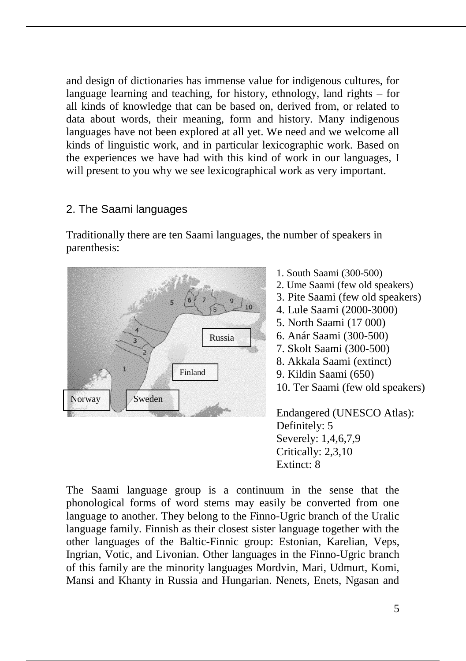and design of dictionaries has immense value for indigenous cultures, for language learning and teaching, for history, ethnology, land rights – for all kinds of knowledge that can be based on, derived from, or related to data about words, their meaning, form and history. Many indigenous languages have not been explored at all yet. We need and we welcome all kinds of linguistic work, and in particular lexicographic work. Based on the experiences we have had with this kind of work in our languages, I will present to you why we see lexicographical work as very important.

## 2. The Saami languages

Traditionally there are ten Saami languages, the number of speakers in parenthesis:



- 1. South Saami (300-500)
- 2. Ume Saami (few old speakers)
- 3. Pite Saami (few old speakers)
- 4. Lule Saami (2000-3000)
- 5. North Saami (17 000)
- 6. Anár Saami (300-500)
- 7. Skolt Saami (300-500)
- 8. Akkala Saami (extinct)
- 9. Kildin Saami (650)
- 10. Ter Saami (few old speakers)

Endangered (UNESCO Atlas): Definitely: 5 Severely: 1,4,6,7,9 Critically: 2,3,10 Extinct: 8

The Saami language group is a continuum in the sense that the phonological forms of word stems may easily be converted from one language to another. They belong to the Finno-Ugric branch of the Uralic language family. Finnish as their closest sister language together with the other languages of the Baltic-Finnic group: Estonian, Karelian, Veps, Ingrian, Votic, and Livonian. Other languages in the Finno-Ugric branch of this family are the minority languages Mordvin, Mari, Udmurt, Komi, Mansi and Khanty in Russia and Hungarian. Nenets, Enets, Ngasan and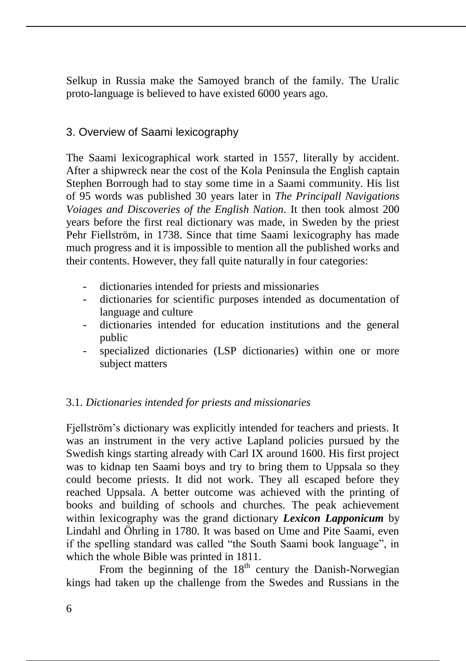Selkup in Russia make the Samoyed branch of the family. The Uralic proto-language is believed to have existed 6000 years ago.

### 3. Overview of Saami lexicography

The Saami lexicographical work started in 1557, literally by accident. After a shipwreck near the cost of the Kola Peninsula the English captain Stephen Borrough had to stay some time in a Saami community. His list of 95 words was published 30 years later in *The Principall Navigations Voiages and Discoveries of the English Nation*. It then took almost 200 years before the first real dictionary was made, in Sweden by the priest Pehr Fiellström, in 1738. Since that time Saami lexicography has made much progress and it is impossible to mention all the published works and their contents. However, they fall quite naturally in four categories:

- dictionaries intended for priests and missionaries
- dictionaries for scientific purposes intended as documentation of language and culture
- dictionaries intended for education institutions and the general public
- specialized dictionaries (LSP dictionaries) within one or more subject matters

### 3.1. *Dictionaries intended for priests and missionaries*

Fjellström's dictionary was explicitly intended for teachers and priests. It was an instrument in the very active Lapland policies pursued by the Swedish kings starting already with Carl IX around 1600. His first project was to kidnap ten Saami boys and try to bring them to Uppsala so they could become priests. It did not work. They all escaped before they reached Uppsala. A better outcome was achieved with the printing of books and building of schools and churches. The peak achievement within lexicography was the grand dictionary *Lexicon Lapponicum* by Lindahl and Öhrling in 1780. It was based on Ume and Pite Saami, even if the spelling standard was called "the South Saami book language", in which the whole Bible was printed in 1811.

From the beginning of the  $18<sup>th</sup>$  century the Danish-Norwegian kings had taken up the challenge from the Swedes and Russians in the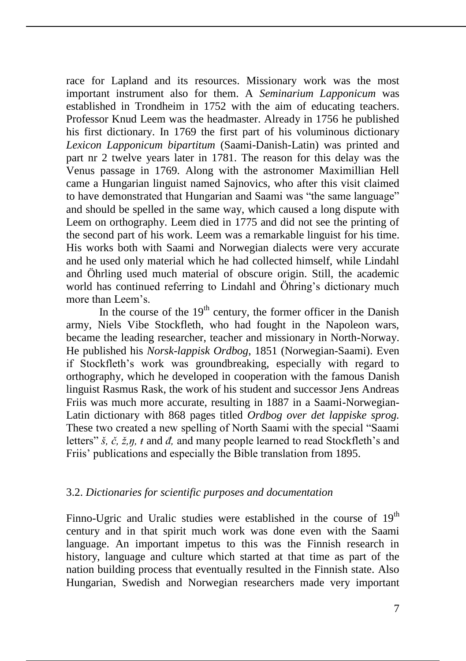race for Lapland and its resources. Missionary work was the most important instrument also for them. A *Seminarium Lapponicum* was established in Trondheim in 1752 with the aim of educating teachers. Professor Knud Leem was the headmaster. Already in 1756 he published his first dictionary. In 1769 the first part of his voluminous dictionary *Lexicon Lapponicum bipartitum* (Saami-Danish-Latin) was printed and part nr 2 twelve years later in 1781. The reason for this delay was the Venus passage in 1769. Along with the astronomer Maximillian Hell came a Hungarian linguist named Sajnovics, who after this visit claimed to have demonstrated that Hungarian and Saami was "the same language" and should be spelled in the same way, which caused a long dispute with Leem on orthography. Leem died in 1775 and did not see the printing of the second part of his work. Leem was a remarkable linguist for his time. His works both with Saami and Norwegian dialects were very accurate and he used only material which he had collected himself, while Lindahl and Öhrling used much material of obscure origin. Still, the academic world has continued referring to Lindahl and Öhring's dictionary much more than Leem's.

In the course of the  $19<sup>th</sup>$  century, the former officer in the Danish army, Niels Vibe Stockfleth, who had fought in the Napoleon wars, became the leading researcher, teacher and missionary in North-Norway. He published his *Norsk-lappisk Ordbog*, 1851 (Norwegian-Saami). Even if Stockfleth's work was groundbreaking, especially with regard to orthography, which he developed in cooperation with the famous Danish linguist Rasmus Rask, the work of his student and successor Jens Andreas Friis was much more accurate, resulting in 1887 in a Saami-Norwegian-Latin dictionary with 868 pages titled *Ordbog over det lappiske sprog.*  These two created a new spelling of North Saami with the special "Saami letters" *š, č, ž,ŋ, ŧ* and *đ,* and many people learned to read Stockfleth's and Friis' publications and especially the Bible translation from 1895.

#### 3.2. *Dictionaries for scientific purposes and documentation*

Finno-Ugric and Uralic studies were established in the course of  $19<sup>th</sup>$ century and in that spirit much work was done even with the Saami language. An important impetus to this was the Finnish research in history, language and culture which started at that time as part of the nation building process that eventually resulted in the Finnish state. Also Hungarian, Swedish and Norwegian researchers made very important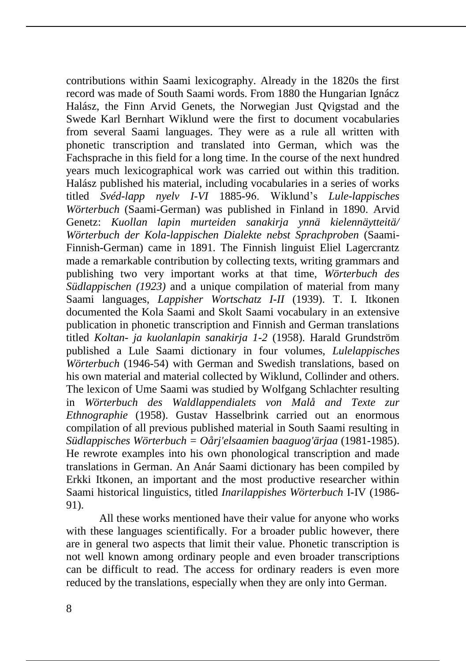contributions within Saami lexicography. Already in the 1820s the first record was made of South Saami words. From 1880 the Hungarian Ignácz Halász, the Finn Arvid Genets, the Norwegian Just Qvigstad and the Swede Karl Bernhart Wiklund were the first to document vocabularies from several Saami languages. They were as a rule all written with phonetic transcription and translated into German, which was the Fachsprache in this field for a long time. In the course of the next hundred years much lexicographical work was carried out within this tradition. Halász published his material, including vocabularies in a series of works titled *Svéd-lapp nyelv I-VI* 1885-96. Wiklund's *Lule-lappisches Wörterbuch* (Saami-German) was published in Finland in 1890. Arvid Genetz: *Kuollan lapin murteiden sanakirja ynnä kielennäytteitä/ Wörterbuch der Kola-lappischen Dialekte nebst Sprachproben* (Saami-Finnish-German) came in 1891. The Finnish linguist Eliel Lagercrantz made a remarkable contribution by collecting texts, writing grammars and publishing two very important works at that time, *Wörterbuch des Südlappischen (1923)* and a unique compilation of material from many Saami languages, *Lappisher Wortschatz I-II* (1939). T. I. Itkonen documented the Kola Saami and Skolt Saami vocabulary in an extensive publication in phonetic transcription and Finnish and German translations titled *Koltan- ja kuolanlapin sanakirja 1-2* (1958). Harald Grundström published a Lule Saami dictionary in four volumes, *Lulelappisches Wörterbuch* (1946-54) with German and Swedish translations, based on his own material and material collected by Wiklund, Collinder and others. The lexicon of Ume Saami was studied by Wolfgang Schlachter resulting in *Wörterbuch des Waldlappendialets von Malå and Texte zur Ethnographie* (1958). Gustav Hasselbrink carried out an enormous compilation of all previous published material in South Saami resulting in *Südlappisches Wörterbuch = Oårj'elsaamien baaguog'ärjaa* (1981-1985). He rewrote examples into his own phonological transcription and made translations in German. An Anár Saami dictionary has been compiled by Erkki Itkonen, an important and the most productive researcher within Saami historical linguistics, titled *Inarilappishes Wörterbuch* I-IV (1986- 91).

All these works mentioned have their value for anyone who works with these languages scientifically. For a broader public however, there are in general two aspects that limit their value. Phonetic transcription is not well known among ordinary people and even broader transcriptions can be difficult to read. The access for ordinary readers is even more reduced by the translations, especially when they are only into German.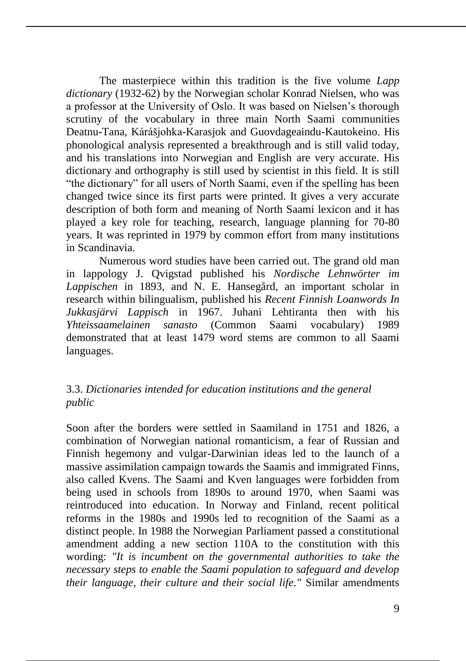The masterpiece within this tradition is the five volume *Lapp dictionary* (1932-62) by the Norwegian scholar Konrad Nielsen, who was a professor at the University of Oslo. It was based on Nielsen's thorough scrutiny of the vocabulary in three main North Saami communities Deatnu-Tana, Kárášjohka-Karasjok and Guovdageaindu-Kautokeino. His phonological analysis represented a breakthrough and is still valid today, and his translations into Norwegian and English are very accurate. His dictionary and orthography is still used by scientist in this field. It is still "the dictionary" for all users of North Saami, even if the spelling has been changed twice since its first parts were printed. It gives a very accurate description of both form and meaning of North Saami lexicon and it has played a key role for teaching, research, language planning for 70-80 years. It was reprinted in 1979 by common effort from many institutions in Scandinavia.

Numerous word studies have been carried out. The grand old man in lappology J. Qvigstad published his *Nordische Lehnwörter im Lappischen* in 1893, and N. E. Hansegård, an important scholar in research within bilingualism, published his *Recent Finnish Loanwords In Jukkasjärvi Lappisch* in 1967. Juhani Lehtiranta then with his *Yhteissaamelainen sanasto* (Common Saami vocabulary) 1989 demonstrated that at least 1479 word stems are common to all Saami languages.

### 3.3. *Dictionaries intended for education institutions and the general public*

Soon after the borders were settled in Saamiland in 1751 and 1826, a combination of Norwegian national romanticism, a fear of Russian and Finnish hegemony and vulgar-Darwinian ideas led to the launch of a massive assimilation campaign towards the Saamis and immigrated Finns, also called Kvens. The Saami and Kven languages were forbidden from being used in schools from 1890s to around 1970, when Saami was reintroduced into education. In Norway and Finland, recent political reforms in the 1980s and 1990s led to recognition of the Saami as a distinct people. In 1988 the Norwegian Parliament passed a constitutional amendment adding a new section 110A to the constitution with this wording: *"It is incumbent on the governmental authorities to take the necessary steps to enable the Saami population to safeguard and develop their language, their culture and their social life."* Similar amendments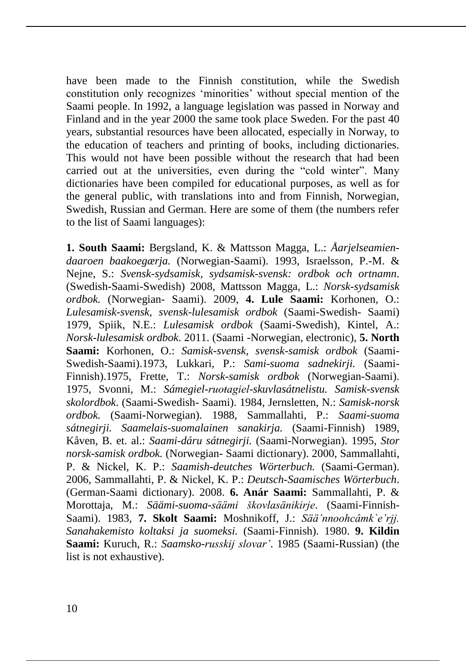have been made to the Finnish constitution, while the Swedish constitution only recognizes 'minorities' without special mention of the Saami people. In 1992, a language legislation was passed in Norway and Finland and in the year 2000 the same took place Sweden. For the past 40 years, substantial resources have been allocated, especially in Norway, to the education of teachers and printing of books, including dictionaries. This would not have been possible without the research that had been carried out at the universities, even during the "cold winter". Many dictionaries have been compiled for educational purposes, as well as for the general public, with translations into and from Finnish, Norwegian, Swedish, Russian and German. Here are some of them (the numbers refer to the list of Saami languages):

**1. South Saami:** Bergsland, K. & Mattsson Magga, L.: *Åarjelseamiendaaroen baakoegærja.* (Norwegian-Saami). 1993, Israelsson, P.-M. & Nejne, S.: *Svensk-sydsamisk, sydsamisk-svensk: ordbok och ortnamn*. (Swedish-Saami-Swedish) 2008, Mattsson Magga, L.: *Norsk-sydsamisk ordbok.* (Norwegian- Saami). 2009, **4. Lule Saami:** Korhonen, O.: *Lulesamisk-svensk, svensk-lulesamisk ordbok* (Saami-Swedish- Saami) 1979, Spiik, N.E.: *Lulesamisk ordbok* (Saami-Swedish), Kintel, A.: *Norsk-lulesamisk ordbok*. 2011. (Saami -Norwegian, electronic), **5. North Saami:** Korhonen, O.: *Samisk-svensk, svensk-samisk ordbok* (Saami-Swedish-Saami).1973, Lukkari, P.: *Sami-suoma sadnekirji.* (Saami-Finnish).1975, Frette, T.: *Norsk-samisk ordbok* (Norwegian-Saami). 1975, Svonni, M.: *Sámegiel-ruoŧagiel-skuvlasátnelistu. Samisk-svensk skolordbok*. (Saami-Swedish- Saami). 1984, Jernsletten, N.: *Samisk-norsk ordbok.* (Saami-Norwegian). 1988, Sammallahti, P.: *Saami-suoma sátnegirji. Saamelais-suomalainen sanakirja.* (Saami-Finnish) 1989, Kåven, B. et. al.: *Saami-dáru sátnegirji.* (Saami-Norwegian). 1995, *Stor norsk-samisk ordbok.* (Norwegian- Saami dictionary). 2000, Sammallahti, P. & Nickel, K. P.: *Saamish-deutches Wörterbuch.* (Saami-German). 2006, Sammallahti, P. & Nickel, K. P.: *Deutsch-Saamisches Wörterbuch*. (German-Saami dictionary). 2008. **6. Anár Saami:** Sammallahti, P. & Morottaja, M.: *Säämi-suoma-säämi škovlasänikirje*. (Saami-Finnish-Saami). 1983, **7. Skolt Saami:** Moshnikoff, J.: *Sää'nnoohcâmk`e'rjj. Sanahakemisto koltaksi ja suomeksi.* (Saami-Finnish). 1980. **9. Kildin Saami:** Kuruch, R.: *Saamsko-russkij slovar'*. 1985 (Saami-Russian) (the list is not exhaustive).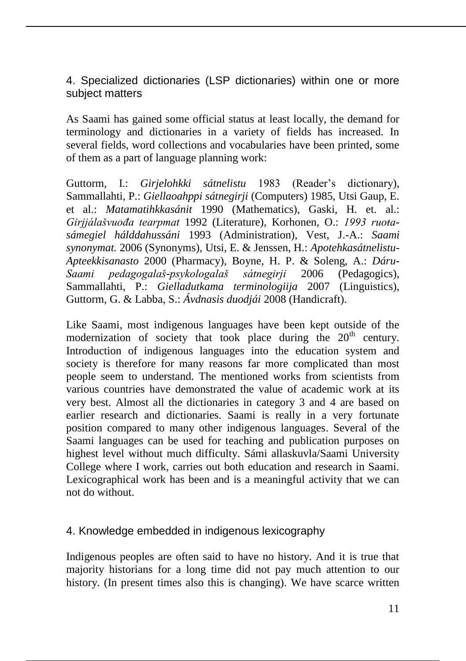4. Specialized dictionaries (LSP dictionaries) within one or more subject matters

As Saami has gained some official status at least locally, the demand for terminology and dictionaries in a variety of fields has increased. In several fields, word collections and vocabularies have been printed, some of them as a part of language planning work:

Guttorm, I.: *Girjelohkki sátnelistu* 1983 (Reader's dictionary), Sammallahti, P.: *Giellaoahppi sátnegirji* (Computers) 1985, Utsi Gaup, E. et al.: *Matamatihkkasánit* 1990 (Mathematics), Gaski, H. et. al.: *Girjjálašvuođa tearpmat* 1992 (Literature), Korhonen, O.: *1993 ruoŧasámegiel hálddahussáni* 1993 (Administration), Vest, J.-A.: *Saami synonymat.* 2006 (Synonyms), Utsi, E. & Jenssen, H.: *Apotehkasátnelistu-Apteekkisanasto* 2000 (Pharmacy), Boyne, H. P. & Soleng, A.: *Dáru-Saami pedagogalaš-psykologalaš sátnegirji* 2006 (Pedagogics), Sammallahti, P.: *Gielladutkama terminologiija* 2007 (Linguistics), Guttorm, G. & Labba, S.: *Ávdnasis duodjái* 2008 (Handicraft).

Like Saami, most indigenous languages have been kept outside of the modernization of society that took place during the  $20<sup>th</sup>$  century. Introduction of indigenous languages into the education system and society is therefore for many reasons far more complicated than most people seem to understand. The mentioned works from scientists from various countries have demonstrated the value of academic work at its very best. Almost all the dictionaries in category 3 and 4 are based on earlier research and dictionaries. Saami is really in a very fortunate position compared to many other indigenous languages. Several of the Saami languages can be used for teaching and publication purposes on highest level without much difficulty. Sámi allaskuvla/Saami University College where I work, carries out both education and research in Saami. Lexicographical work has been and is a meaningful activity that we can not do without.

### 4. Knowledge embedded in indigenous lexicography

Indigenous peoples are often said to have no history. And it is true that majority historians for a long time did not pay much attention to our history. (In present times also this is changing). We have scarce written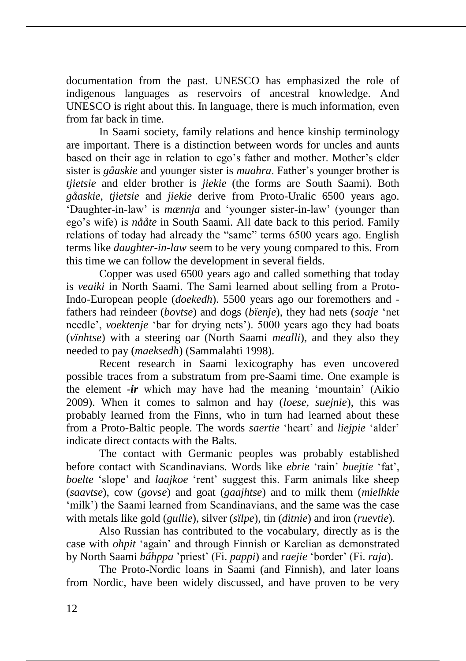documentation from the past. UNESCO has emphasized the role of indigenous languages as reservoirs of ancestral knowledge. And UNESCO is right about this. In language, there is much information, even from far back in time.

In Saami society, family relations and hence kinship terminology are important. There is a distinction between words for uncles and aunts based on their age in relation to ego's father and mother. Mother's elder sister is *gåaskie* and younger sister is *muahra*. Father's younger brother is *tjietsie* and elder brother is *jiekie* (the forms are South Saami). Both *gåaskie*, *tjietsie* and *jiekie* derive from Proto-Uralic 6500 years ago. 'Daughter-in-law' is *mænnja* and 'younger sister-in-law' (younger than ego's wife) is *nååte* in South Saami. All date back to this period. Family relations of today had already the "same" terms 6500 years ago. English terms like *daughter-in-law* seem to be very young compared to this. From this time we can follow the development in several fields.

Copper was used 6500 years ago and called something that today is *veaiki* in North Saami. The Sami learned about selling from a Proto-Indo-European people (*doekedh*). 5500 years ago our foremothers and fathers had reindeer (*bovtse*) and dogs (*bïenje*), they had nets (*soaje* 'net needle', *voektenje* 'bar for drying nets'). 5000 years ago they had boats (*vïnhtse*) with a steering oar (North Saami *mealli*), and they also they needed to pay (*maeksedh*) (Sammalahti 1998).

Recent research in Saami lexicography has even uncovered possible traces from a substratum from pre-Saami time. One example is the element *-ir* which may have had the meaning 'mountain' (Aikio 2009). When it comes to salmon and hay (*loese, suejnie*), this was probably learned from the Finns, who in turn had learned about these from a Proto-Baltic people. The words *saertie* 'heart' and *liejpie* 'alder' indicate direct contacts with the Balts.

The contact with Germanic peoples was probably established before contact with Scandinavians. Words like *ebrie* 'rain' *buejtie* 'fat', *boelte* 'slope' and *laajkoe* 'rent' suggest this. Farm animals like sheep (*saavtse*), cow (*govse*) and goat (*gaajhtse*) and to milk them (*mielhkie* 'milk') the Saami learned from Scandinavians, and the same was the case with metals like gold (*gullie*), silver (*sïlpe*), tin (*ditnie*) and iron (*ruevtie*).

Also Russian has contributed to the vocabulary, directly as is the case with *ohpit* 'again' and through Finnish or Karelian as demonstrated by North Saami *báhppa* 'priest' (Fi. *pappi*) and *raejie* 'border' (Fi. *raja*).

The Proto-Nordic loans in Saami (and Finnish), and later loans from Nordic, have been widely discussed, and have proven to be very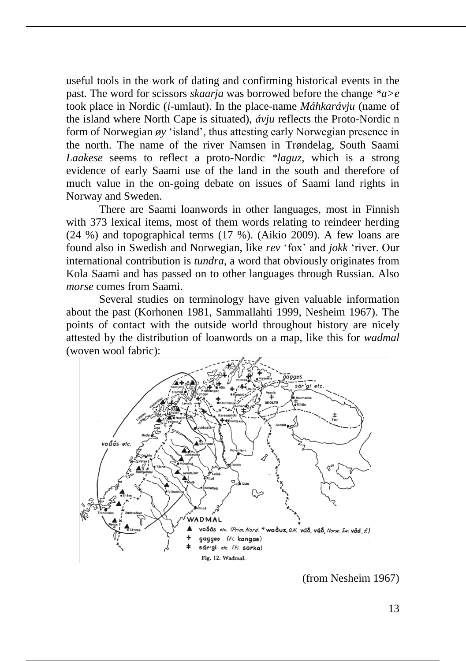useful tools in the work of dating and confirming historical events in the past. The word for scissors *skaarja* was borrowed before the change *\*a>e* took place in Nordic (*i*-umlaut). In the place-name *Máhkarávju* (name of the island where North Cape is situated), *ávju* reflects the Proto-Nordic n form of Norwegian *øy* 'island', thus attesting early Norwegian presence in the north. The name of the river Namsen in Trøndelag, South Saami *Laakese* seems to reflect a proto-Nordic *\*laguz*, which is a strong evidence of early Saami use of the land in the south and therefore of much value in the on-going debate on issues of Saami land rights in Norway and Sweden.

There are Saami loanwords in other languages, most in Finnish with 373 lexical items, most of them words relating to reindeer herding (24 %) and topographical terms (17 %). (Aikio 2009). A few loans are found also in Swedish and Norwegian, like *rev* 'fox' and *jokk* 'river. Our international contribution is *tundra*, a word that obviously originates from Kola Saami and has passed on to other languages through Russian. Also *morse* comes from Saami.

Several studies on terminology have given valuable information about the past (Korhonen 1981, Sammallahti 1999, Nesheim 1967). The points of contact with the outside world throughout history are nicely attested by the distribution of loanwords on a map, like this for *wadmal* (woven wool fabric):



(from Nesheim 1967)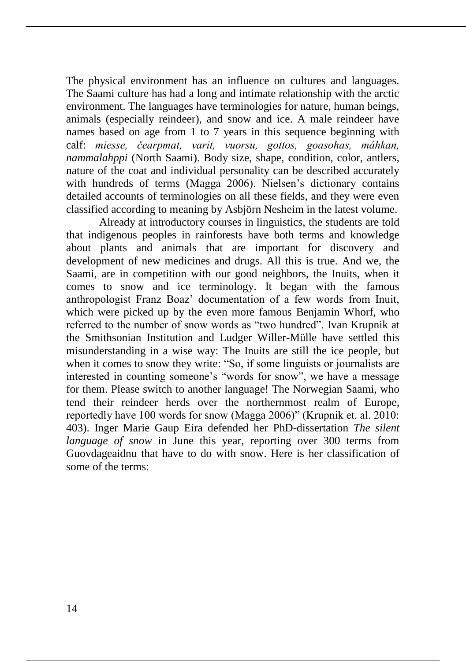The physical environment has an influence on cultures and languages. The Saami culture has had a long and intimate relationship with the arctic environment. The languages have terminologies for nature, human beings, animals (especially reindeer), and snow and ice. A male reindeer have names based on age from 1 to 7 years in this sequence beginning with calf: *miesse, čearpmat, varit, vuorsu, gottos, goasohas, máhkan, nammalahppi* (North Saami). Body size, shape, condition, color, antlers, nature of the coat and individual personality can be described accurately with hundreds of terms (Magga 2006). Nielsen's dictionary contains detailed accounts of terminologies on all these fields, and they were even classified according to meaning by Asbjörn Nesheim in the latest volume.

Already at introductory courses in linguistics, the students are told that indigenous peoples in rainforests have both terms and knowledge about plants and animals that are important for discovery and development of new medicines and drugs. All this is true. And we, the Saami, are in competition with our good neighbors, the Inuits, when it comes to snow and ice terminology. It began with the famous anthropologist Franz Boaz' documentation of a few words from Inuit, which were picked up by the even more famous Benjamin Whorf, who referred to the number of snow words as "two hundred". Ivan Krupnik at the Smithsonian Institution and Ludger Willer-Mülle have settled this misunderstanding in a wise way: The Inuits are still the ice people, but when it comes to snow they write: "So, if some linguists or journalists are interested in counting someone's "words for snow", we have a message for them. Please switch to another language! The Norwegian Saami, who tend their reindeer herds over the northernmost realm of Europe, reportedly have 100 words for snow (Magga 2006)" (Krupnik et. al. 2010: 403). Inger Marie Gaup Eira defended her PhD-dissertation *The silent language of snow* in June this year, reporting over 300 terms from Guovdageaidnu that have to do with snow. Here is her classification of some of the terms: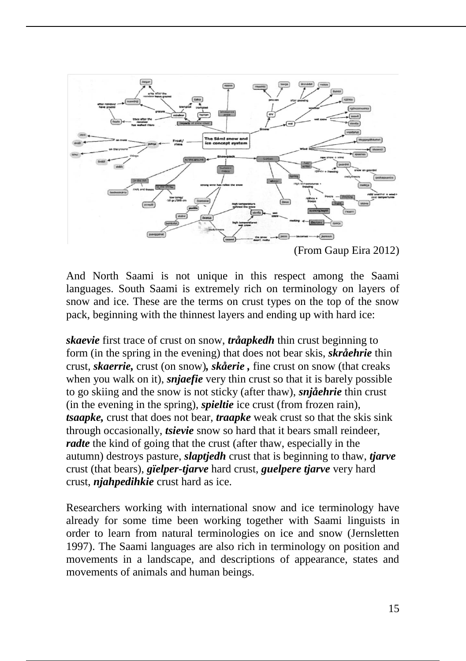

And North Saami is not unique in this respect among the Saami languages. South Saami is extremely rich on terminology on layers of snow and ice. These are the terms on crust types on the top of the snow pack, beginning with the thinnest layers and ending up with hard ice:

*skaevie* first trace of crust on snow, *tråapkedh* thin crust beginning to form (in the spring in the evening) that does not bear skis, *skråehrie* thin crust, *skaerrie,* crust (on snow)*, skåerie ,* fine crust on snow (that creaks when you walk on it), *snjaefie* very thin crust so that it is barely possible to go skiing and the snow is not sticky (after thaw), *snjåehrie* thin crust (in the evening in the spring), *spieltie* ice crust (from frozen rain), *tsaapke,* crust that does not bear, *traapke* weak crust so that the skis sink through occasionally, *tsievie* snow so hard that it bears small reindeer, *radte* the kind of going that the crust (after thaw, especially in the autumn) destroys pasture, *slaptjedh* crust that is beginning to thaw, *tjarve* crust (that bears), *gïelper-tjarve* hard crust, *guelpere tjarve* very hard crust, *njahpedihkie* crust hard as ice.

Researchers working with international snow and ice terminology have already for some time been working together with Saami linguists in order to learn from natural terminologies on ice and snow (Jernsletten 1997). The Saami languages are also rich in terminology on position and movements in a landscape, and descriptions of appearance, states and movements of animals and human beings.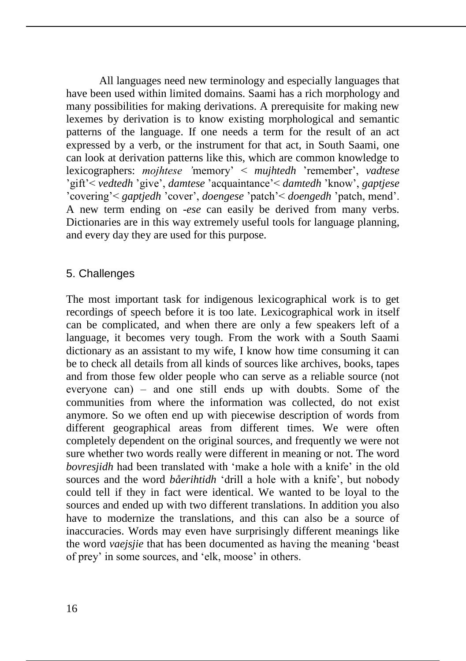All languages need new terminology and especially languages that have been used within limited domains. Saami has a rich morphology and many possibilities for making derivations. A prerequisite for making new lexemes by derivation is to know existing morphological and semantic patterns of the language. If one needs a term for the result of an act expressed by a verb, or the instrument for that act, in South Saami, one can look at derivation patterns like this, which are common knowledge to lexicographers: *mojhtese '*memory' < *mujhtedh* 'remember', *vadtese*  'gift'< *vedtedh* 'give', *damtese* 'acquaintance'< *damtedh* 'know', *gaptjese*  'covering'< *gaptjedh* 'cover', *doengese* 'patch'< *doengedh* 'patch, mend'. A new term ending on -*ese* can easily be derived from many verbs. Dictionaries are in this way extremely useful tools for language planning, and every day they are used for this purpose.

### 5. Challenges

The most important task for indigenous lexicographical work is to get recordings of speech before it is too late. Lexicographical work in itself can be complicated, and when there are only a few speakers left of a language, it becomes very tough. From the work with a South Saami dictionary as an assistant to my wife, I know how time consuming it can be to check all details from all kinds of sources like archives, books, tapes and from those few older people who can serve as a reliable source (not everyone can)  $-$  and one still ends up with doubts. Some of the communities from where the information was collected, do not exist anymore. So we often end up with piecewise description of words from different geographical areas from different times. We were often completely dependent on the original sources, and frequently we were not sure whether two words really were different in meaning or not. The word *bovresjidh* had been translated with 'make a hole with a knife' in the old sources and the word *båerihtidh* 'drill a hole with a knife', but nobody could tell if they in fact were identical. We wanted to be loyal to the sources and ended up with two different translations. In addition you also have to modernize the translations, and this can also be a source of inaccuracies. Words may even have surprisingly different meanings like the word *vaejsjie* that has been documented as having the meaning 'beast of prey' in some sources, and 'elk, moose' in others.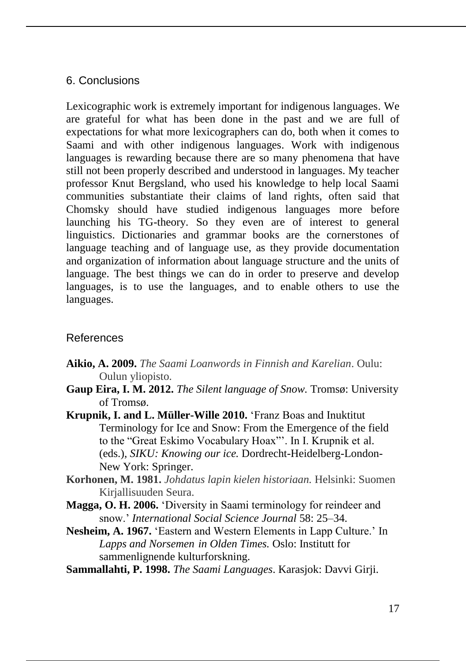### 6. Conclusions

Lexicographic work is extremely important for indigenous languages. We are grateful for what has been done in the past and we are full of expectations for what more lexicographers can do, both when it comes to Saami and with other indigenous languages. Work with indigenous languages is rewarding because there are so many phenomena that have still not been properly described and understood in languages. My teacher professor Knut Bergsland, who used his knowledge to help local Saami communities substantiate their claims of land rights, often said that Chomsky should have studied indigenous languages more before launching his TG-theory. So they even are of interest to general linguistics. Dictionaries and grammar books are the cornerstones of language teaching and of language use, as they provide documentation and organization of information about language structure and the units of language. The best things we can do in order to preserve and develop languages, is to use the languages, and to enable others to use the languages.

### References

- **Aikio, A. 2009.** *The Saami Loanwords in Finnish and Karelian*. Oulu: Oulun yliopisto.
- **Gaup Eira, I. M. 2012.** *The Silent language of Snow.* Tromsø: University of Tromsø.
- **Krupnik, I. and L. Müller-Wille 2010.** 'Franz Boas and Inuktitut Terminology for Ice and Snow: From the Emergence of the field to the "Great Eskimo Vocabulary Hoax"'. In I. Krupnik et al. (eds.), *SIKU: Knowing our ice.* Dordrecht-Heidelberg-London-New York: Springer.
- **Korhonen, M. 1981.** *Johdatus lapin kielen historiaan.* Helsinki: Suomen Kirjallisuuden Seura.
- **Magga, O. H. 2006.** 'Diversity in Saami terminology for reindeer and snow.' *International Social Science Journal* 58: 25–34.
- **Nesheim, A. 1967.** 'Eastern and Western Elements in Lapp Culture.' In *Lapps and Norsemen in Olden Times.* Oslo: Institutt for sammenlignende kulturforskning.
- **Sammallahti, P. 1998.** *The Saami Languages*. Karasjok: Davvi Girji.